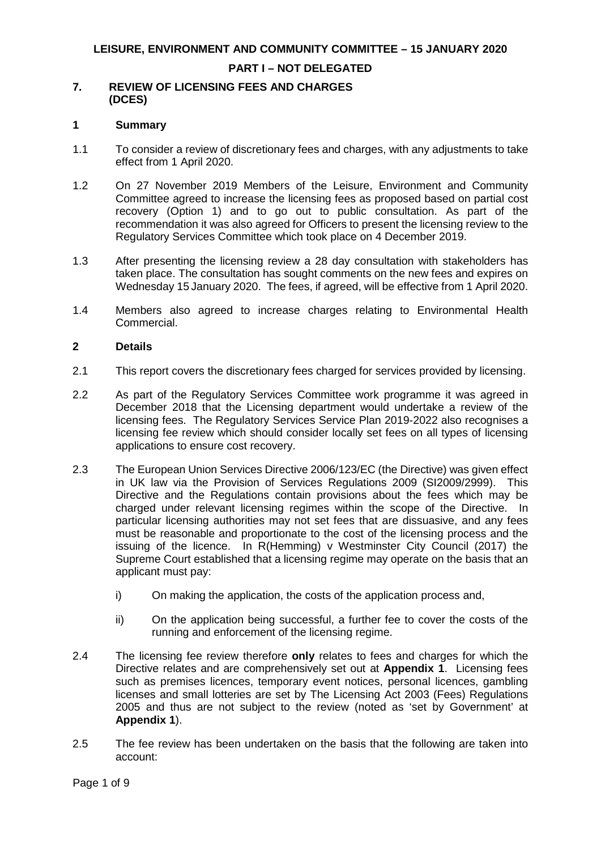# **LEISURE, ENVIRONMENT AND COMMUNITY COMMITTEE – 15 JANUARY 2020**

#### **PART I – NOT DELEGATED**

## **7. REVIEW OF LICENSING FEES AND CHARGES (DCES)**

## **1 Summary**

- 1.1 To consider a review of discretionary fees and charges, with any adjustments to take effect from 1 April 2020.
- 1.2 On 27 November 2019 Members of the Leisure, Environment and Community Committee agreed to increase the licensing fees as proposed based on partial cost recovery (Option 1) and to go out to public consultation. As part of the recommendation it was also agreed for Officers to present the licensing review to the Regulatory Services Committee which took place on 4 December 2019.
- 1.3 After presenting the licensing review a 28 day consultation with stakeholders has taken place. The consultation has sought comments on the new fees and expires on Wednesday 15 January 2020. The fees, if agreed, will be effective from 1 April 2020.
- 1.4 Members also agreed to increase charges relating to Environmental Health Commercial.

# **2 Details**

- 2.1 This report covers the discretionary fees charged for services provided by licensing.
- 2.2 As part of the Regulatory Services Committee work programme it was agreed in December 2018 that the Licensing department would undertake a review of the licensing fees. The Regulatory Services Service Plan 2019-2022 also recognises a licensing fee review which should consider locally set fees on all types of licensing applications to ensure cost recovery.
- 2.3 The European Union Services Directive 2006/123/EC (the Directive) was given effect in UK law via the Provision of Services Regulations 2009 (SI2009/2999). This Directive and the Regulations contain provisions about the fees which may be charged under relevant licensing regimes within the scope of the Directive. In particular licensing authorities may not set fees that are dissuasive, and any fees must be reasonable and proportionate to the cost of the licensing process and the issuing of the licence. In R(Hemming) v Westminster City Council (2017) the Supreme Court established that a licensing regime may operate on the basis that an applicant must pay:
	- i) On making the application, the costs of the application process and,
	- ii) On the application being successful, a further fee to cover the costs of the running and enforcement of the licensing regime.
- 2.4 The licensing fee review therefore **only** relates to fees and charges for which the Directive relates and are comprehensively set out at **Appendix 1**. Licensing fees such as premises licences, temporary event notices, personal licences, gambling licenses and small lotteries are set by The Licensing Act 2003 (Fees) Regulations 2005 and thus are not subject to the review (noted as 'set by Government' at **Appendix 1**).
- 2.5 The fee review has been undertaken on the basis that the following are taken into account: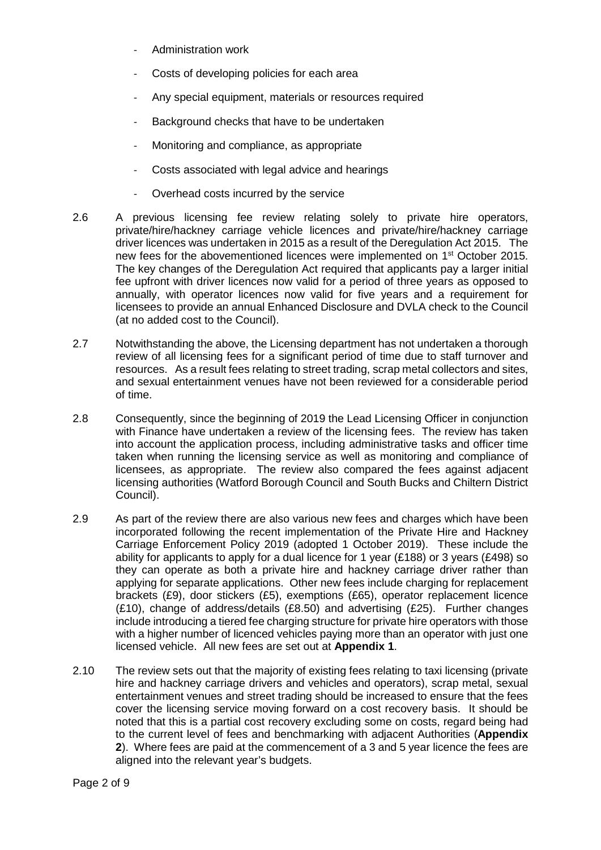- Administration work
- Costs of developing policies for each area
- Any special equipment, materials or resources required
- Background checks that have to be undertaken
- Monitoring and compliance, as appropriate
- Costs associated with legal advice and hearings
- Overhead costs incurred by the service
- 2.6 A previous licensing fee review relating solely to private hire operators, private/hire/hackney carriage vehicle licences and private/hire/hackney carriage driver licences was undertaken in 2015 as a result of the Deregulation Act 2015. The new fees for the abovementioned licences were implemented on 1<sup>st</sup> October 2015. The key changes of the Deregulation Act required that applicants pay a larger initial fee upfront with driver licences now valid for a period of three years as opposed to annually, with operator licences now valid for five years and a requirement for licensees to provide an annual Enhanced Disclosure and DVLA check to the Council (at no added cost to the Council).
- 2.7 Notwithstanding the above, the Licensing department has not undertaken a thorough review of all licensing fees for a significant period of time due to staff turnover and resources. As a result fees relating to street trading, scrap metal collectors and sites, and sexual entertainment venues have not been reviewed for a considerable period of time.
- 2.8 Consequently, since the beginning of 2019 the Lead Licensing Officer in conjunction with Finance have undertaken a review of the licensing fees. The review has taken into account the application process, including administrative tasks and officer time taken when running the licensing service as well as monitoring and compliance of licensees, as appropriate. The review also compared the fees against adjacent licensing authorities (Watford Borough Council and South Bucks and Chiltern District Council).
- 2.9 As part of the review there are also various new fees and charges which have been incorporated following the recent implementation of the Private Hire and Hackney Carriage Enforcement Policy 2019 (adopted 1 October 2019). These include the ability for applicants to apply for a dual licence for 1 year (£188) or 3 years (£498) so they can operate as both a private hire and hackney carriage driver rather than applying for separate applications. Other new fees include charging for replacement brackets (£9), door stickers (£5), exemptions (£65), operator replacement licence (£10), change of address/details (£8.50) and advertising (£25). Further changes include introducing a tiered fee charging structure for private hire operators with those with a higher number of licenced vehicles paying more than an operator with just one licensed vehicle. All new fees are set out at **Appendix 1**.
- 2.10 The review sets out that the majority of existing fees relating to taxi licensing (private hire and hackney carriage drivers and vehicles and operators), scrap metal, sexual entertainment venues and street trading should be increased to ensure that the fees cover the licensing service moving forward on a cost recovery basis. It should be noted that this is a partial cost recovery excluding some on costs, regard being had to the current level of fees and benchmarking with adjacent Authorities (**Appendix 2**). Where fees are paid at the commencement of a 3 and 5 year licence the fees are aligned into the relevant year's budgets.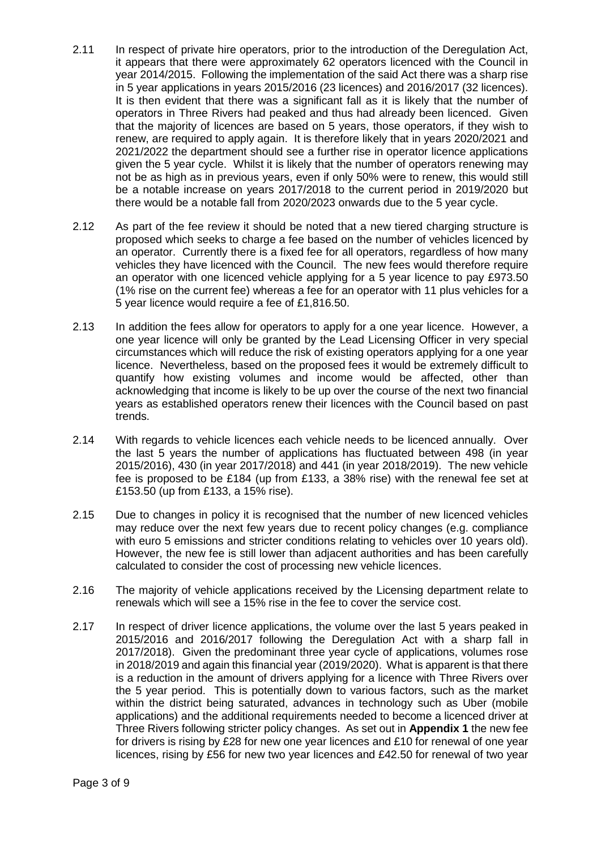- 2.11 In respect of private hire operators, prior to the introduction of the Deregulation Act, it appears that there were approximately 62 operators licenced with the Council in year 2014/2015. Following the implementation of the said Act there was a sharp rise in 5 year applications in years 2015/2016 (23 licences) and 2016/2017 (32 licences). It is then evident that there was a significant fall as it is likely that the number of operators in Three Rivers had peaked and thus had already been licenced. Given that the majority of licences are based on 5 years, those operators, if they wish to renew, are required to apply again. It is therefore likely that in years 2020/2021 and 2021/2022 the department should see a further rise in operator licence applications given the 5 year cycle. Whilst it is likely that the number of operators renewing may not be as high as in previous years, even if only 50% were to renew, this would still be a notable increase on years 2017/2018 to the current period in 2019/2020 but there would be a notable fall from 2020/2023 onwards due to the 5 year cycle.
- 2.12 As part of the fee review it should be noted that a new tiered charging structure is proposed which seeks to charge a fee based on the number of vehicles licenced by an operator. Currently there is a fixed fee for all operators, regardless of how many vehicles they have licenced with the Council. The new fees would therefore require an operator with one licenced vehicle applying for a 5 year licence to pay £973.50 (1% rise on the current fee) whereas a fee for an operator with 11 plus vehicles for a 5 year licence would require a fee of £1,816.50.
- 2.13 In addition the fees allow for operators to apply for a one year licence. However, a one year licence will only be granted by the Lead Licensing Officer in very special circumstances which will reduce the risk of existing operators applying for a one year licence. Nevertheless, based on the proposed fees it would be extremely difficult to quantify how existing volumes and income would be affected, other than acknowledging that income is likely to be up over the course of the next two financial years as established operators renew their licences with the Council based on past trends.
- 2.14 With regards to vehicle licences each vehicle needs to be licenced annually. Over the last 5 years the number of applications has fluctuated between 498 (in year 2015/2016), 430 (in year 2017/2018) and 441 (in year 2018/2019). The new vehicle fee is proposed to be £184 (up from £133, a 38% rise) with the renewal fee set at £153.50 (up from £133, a 15% rise).
- 2.15 Due to changes in policy it is recognised that the number of new licenced vehicles may reduce over the next few years due to recent policy changes (e.g. compliance with euro 5 emissions and stricter conditions relating to vehicles over 10 years old). However, the new fee is still lower than adjacent authorities and has been carefully calculated to consider the cost of processing new vehicle licences.
- 2.16 The majority of vehicle applications received by the Licensing department relate to renewals which will see a 15% rise in the fee to cover the service cost.
- 2.17 In respect of driver licence applications, the volume over the last 5 years peaked in 2015/2016 and 2016/2017 following the Deregulation Act with a sharp fall in 2017/2018). Given the predominant three year cycle of applications, volumes rose in 2018/2019 and again this financial year (2019/2020). What is apparent is that there is a reduction in the amount of drivers applying for a licence with Three Rivers over the 5 year period. This is potentially down to various factors, such as the market within the district being saturated, advances in technology such as Uber (mobile applications) and the additional requirements needed to become a licenced driver at Three Rivers following stricter policy changes. As set out in **Appendix 1** the new fee for drivers is rising by £28 for new one year licences and £10 for renewal of one year licences, rising by £56 for new two year licences and £42.50 for renewal of two year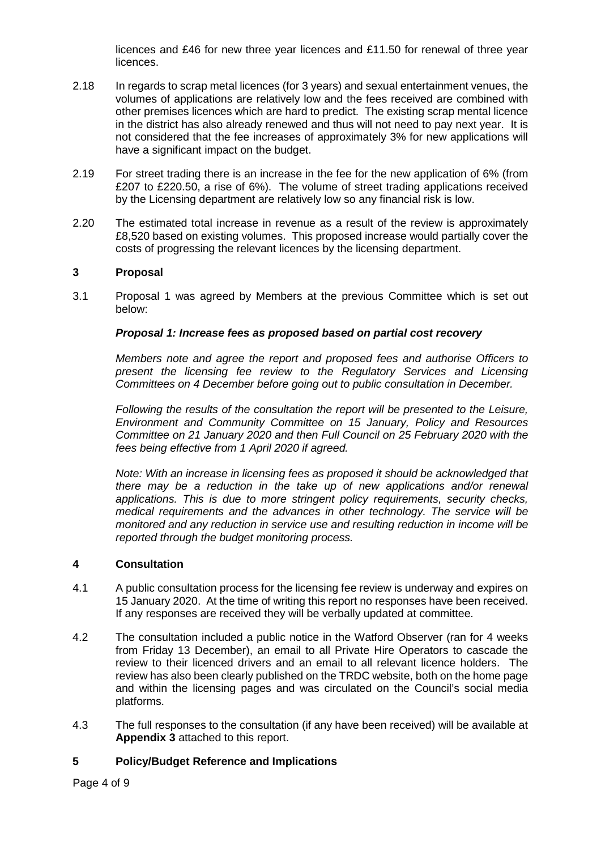licences and £46 for new three year licences and £11.50 for renewal of three year licences.

- 2.18 In regards to scrap metal licences (for 3 years) and sexual entertainment venues, the volumes of applications are relatively low and the fees received are combined with other premises licences which are hard to predict. The existing scrap mental licence in the district has also already renewed and thus will not need to pay next year. It is not considered that the fee increases of approximately 3% for new applications will have a significant impact on the budget.
- 2.19 For street trading there is an increase in the fee for the new application of 6% (from £207 to £220.50, a rise of 6%). The volume of street trading applications received by the Licensing department are relatively low so any financial risk is low.
- 2.20 The estimated total increase in revenue as a result of the review is approximately £8,520 based on existing volumes. This proposed increase would partially cover the costs of progressing the relevant licences by the licensing department.

#### **3 Proposal**

3.1 Proposal 1 was agreed by Members at the previous Committee which is set out below:

#### *Proposal 1: Increase fees as proposed based on partial cost recovery*

*Members note and agree the report and proposed fees and authorise Officers to present the licensing fee review to the Regulatory Services and Licensing Committees on 4 December before going out to public consultation in December.*

*Following the results of the consultation the report will be presented to the Leisure, Environment and Community Committee on 15 January, Policy and Resources Committee on 21 January 2020 and then Full Council on 25 February 2020 with the fees being effective from 1 April 2020 if agreed.*

*Note: With an increase in licensing fees as proposed it should be acknowledged that there may be a reduction in the take up of new applications and/or renewal applications. This is due to more stringent policy requirements, security checks, medical requirements and the advances in other technology. The service will be monitored and any reduction in service use and resulting reduction in income will be reported through the budget monitoring process.*

#### **4 Consultation**

- 4.1 A public consultation process for the licensing fee review is underway and expires on 15 January 2020. At the time of writing this report no responses have been received. If any responses are received they will be verbally updated at committee.
- 4.2 The consultation included a public notice in the Watford Observer (ran for 4 weeks from Friday 13 December), an email to all Private Hire Operators to cascade the review to their licenced drivers and an email to all relevant licence holders. The review has also been clearly published on the TRDC website, both on the home page and within the licensing pages and was circulated on the Council's social media platforms.
- 4.3 The full responses to the consultation (if any have been received) will be available at **Appendix 3** attached to this report.

#### **5 Policy/Budget Reference and Implications**

Page 4 of 9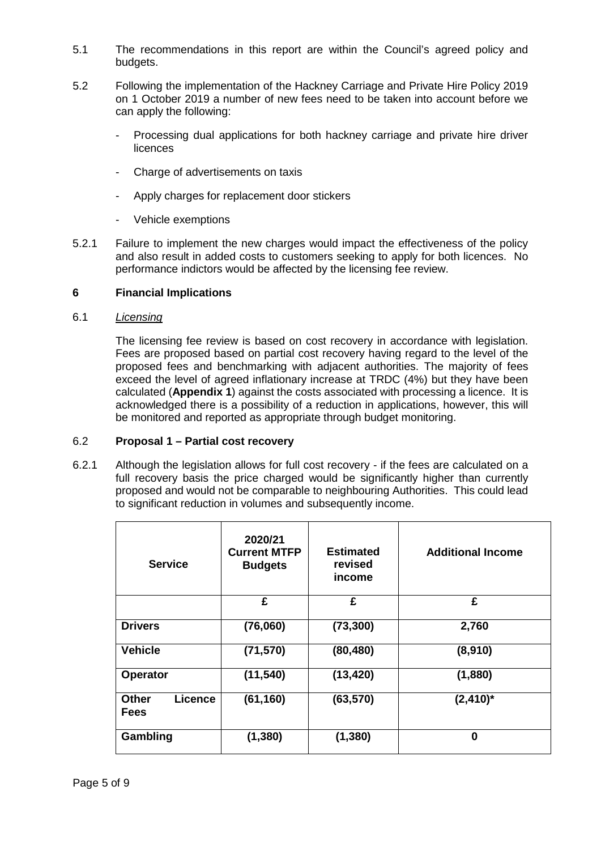- 5.1 The recommendations in this report are within the Council's agreed policy and budgets.
- 5.2 Following the implementation of the Hackney Carriage and Private Hire Policy 2019 on 1 October 2019 a number of new fees need to be taken into account before we can apply the following:
	- Processing dual applications for both hackney carriage and private hire driver licences
	- Charge of advertisements on taxis
	- Apply charges for replacement door stickers
	- Vehicle exemptions
- 5.2.1 Failure to implement the new charges would impact the effectiveness of the policy and also result in added costs to customers seeking to apply for both licences. No performance indictors would be affected by the licensing fee review.

#### **6 Financial Implications**

#### 6.1 *Licensing*

The licensing fee review is based on cost recovery in accordance with legislation. Fees are proposed based on partial cost recovery having regard to the level of the proposed fees and benchmarking with adjacent authorities. The majority of fees exceed the level of agreed inflationary increase at TRDC (4%) but they have been calculated (**Appendix 1**) against the costs associated with processing a licence. It is acknowledged there is a possibility of a reduction in applications, however, this will be monitored and reported as appropriate through budget monitoring.

#### 6.2 **Proposal 1 – Partial cost recovery**

6.2.1 Although the legislation allows for full cost recovery - if the fees are calculated on a full recovery basis the price charged would be significantly higher than currently proposed and would not be comparable to neighbouring Authorities. This could lead to significant reduction in volumes and subsequently income.

| <b>Service</b>                                | 2020/21<br><b>Current MTFP</b><br><b>Budgets</b> | <b>Estimated</b><br>revised<br>income | <b>Additional Income</b> |
|-----------------------------------------------|--------------------------------------------------|---------------------------------------|--------------------------|
|                                               | £                                                | £                                     | £                        |
| <b>Drivers</b>                                | (76,060)                                         | (73, 300)                             | 2,760                    |
| <b>Vehicle</b>                                | (71, 570)                                        | (80, 480)                             | (8,910)                  |
| <b>Operator</b>                               | (11, 540)                                        | (13, 420)                             | (1,880)                  |
| <b>Licence</b><br><b>Other</b><br><b>Fees</b> | (61, 160)                                        | (63, 570)                             | $(2, 410)^*$             |
| Gambling                                      | (1, 380)                                         | (1, 380)                              | $\bf{0}$                 |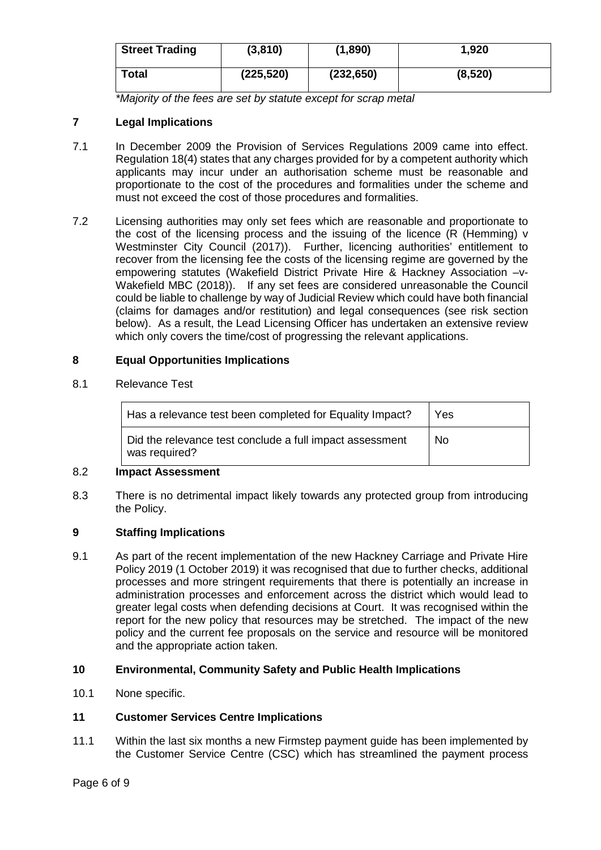| <b>Street Trading</b> | (3,810)    | (1,890)    | 1,920   |
|-----------------------|------------|------------|---------|
| <b>Total</b>          | (225, 520) | (232, 650) | (8,520) |

*\*Majority of the fees are set by statute except for scrap metal*

## **7 Legal Implications**

- 7.1 In December 2009 the Provision of Services Regulations 2009 came into effect. Regulation 18(4) states that any charges provided for by a competent authority which applicants may incur under an authorisation scheme must be reasonable and proportionate to the cost of the procedures and formalities under the scheme and must not exceed the cost of those procedures and formalities.
- 7.2 Licensing authorities may only set fees which are reasonable and proportionate to the cost of the licensing process and the issuing of the licence (R (Hemming) v Westminster City Council (2017)). Further, licencing authorities' entitlement to recover from the licensing fee the costs of the licensing regime are governed by the empowering statutes (Wakefield District Private Hire & Hackney Association –v-Wakefield MBC (2018)). If any set fees are considered unreasonable the Council could be liable to challenge by way of Judicial Review which could have both financial (claims for damages and/or restitution) and legal consequences (see risk section below). As a result, the Lead Licensing Officer has undertaken an extensive review which only covers the time/cost of progressing the relevant applications.

## **8 Equal Opportunities Implications**

8.1 Relevance Test

| Has a relevance test been completed for Equality Impact?                  | Yes |
|---------------------------------------------------------------------------|-----|
| Did the relevance test conclude a full impact assessment<br>was required? | No. |

## 8.2 **Impact Assessment**

8.3 There is no detrimental impact likely towards any protected group from introducing the Policy.

## **9 Staffing Implications**

9.1 As part of the recent implementation of the new Hackney Carriage and Private Hire Policy 2019 (1 October 2019) it was recognised that due to further checks, additional processes and more stringent requirements that there is potentially an increase in administration processes and enforcement across the district which would lead to greater legal costs when defending decisions at Court. It was recognised within the report for the new policy that resources may be stretched. The impact of the new policy and the current fee proposals on the service and resource will be monitored and the appropriate action taken.

## **10 Environmental, Community Safety and Public Health Implications**

10.1 None specific.

#### **11 Customer Services Centre Implications**

11.1 Within the last six months a new Firmstep payment guide has been implemented by the Customer Service Centre (CSC) which has streamlined the payment process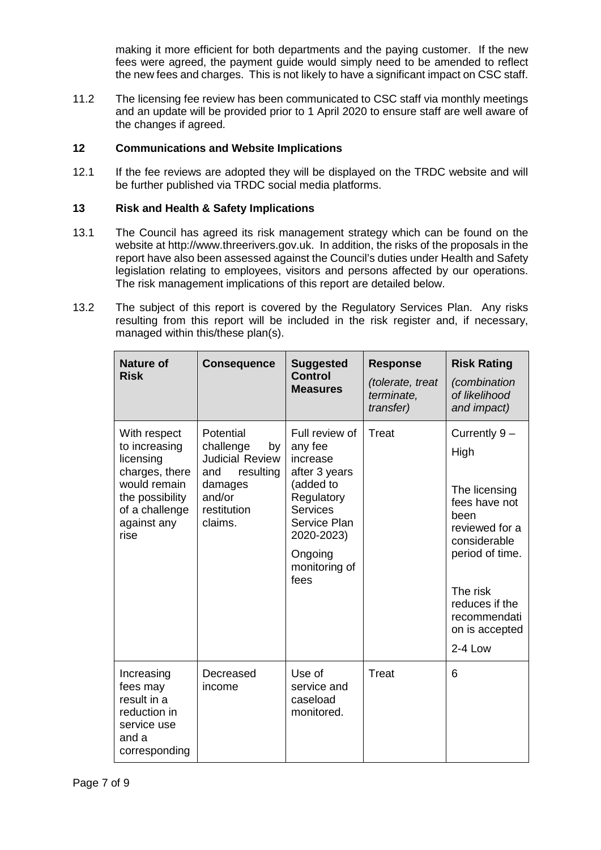making it more efficient for both departments and the paying customer. If the new fees were agreed, the payment guide would simply need to be amended to reflect the new fees and charges. This is not likely to have a significant impact on CSC staff.

11.2 The licensing fee review has been communicated to CSC staff via monthly meetings and an update will be provided prior to 1 April 2020 to ensure staff are well aware of the changes if agreed.

## **12 Communications and Website Implications**

12.1 If the fee reviews are adopted they will be displayed on the TRDC website and will be further published via TRDC social media platforms.

#### **13 Risk and Health & Safety Implications**

- 13.1 The Council has agreed its risk management strategy which can be found on the website at http://www.threerivers.gov.uk. In addition, the risks of the proposals in the report have also been assessed against the Council's duties under Health and Safety legislation relating to employees, visitors and persons affected by our operations. The risk management implications of this report are detailed below.
- 13.2 The subject of this report is covered by the Regulatory Services Plan. Any risks resulting from this report will be included in the risk register and, if necessary, managed within this/these plan(s).

| <b>Nature of</b><br><b>Risk</b>                                                                                                          | <b>Consequence</b>                                                                                                        | <b>Suggested</b><br><b>Control</b><br><b>Measures</b>                                                                                                                  | <b>Response</b><br>(tolerate, treat<br>terminate,<br>transfer) | <b>Risk Rating</b><br>(combination<br>of likelihood<br>and impact)                                                                                                                             |
|------------------------------------------------------------------------------------------------------------------------------------------|---------------------------------------------------------------------------------------------------------------------------|------------------------------------------------------------------------------------------------------------------------------------------------------------------------|----------------------------------------------------------------|------------------------------------------------------------------------------------------------------------------------------------------------------------------------------------------------|
| With respect<br>to increasing<br>licensing<br>charges, there<br>would remain<br>the possibility<br>of a challenge<br>against any<br>rise | Potential<br>challenge<br>by<br><b>Judicial Review</b><br>and<br>resulting<br>damages<br>and/or<br>restitution<br>claims. | Full review of<br>any fee<br>increase<br>after 3 years<br>(added to<br>Regulatory<br><b>Services</b><br>Service Plan<br>2020-2023)<br>Ongoing<br>monitoring of<br>fees | <b>Treat</b>                                                   | Currently 9-<br>High<br>The licensing<br>fees have not<br>been<br>reviewed for a<br>considerable<br>period of time.<br>The risk<br>reduces if the<br>recommendati<br>on is accepted<br>2-4 Low |
| Increasing<br>fees may<br>result in a<br>reduction in<br>service use<br>and a<br>corresponding                                           | Decreased<br>income                                                                                                       | Use of<br>service and<br>caseload<br>monitored.                                                                                                                        | <b>Treat</b>                                                   | 6                                                                                                                                                                                              |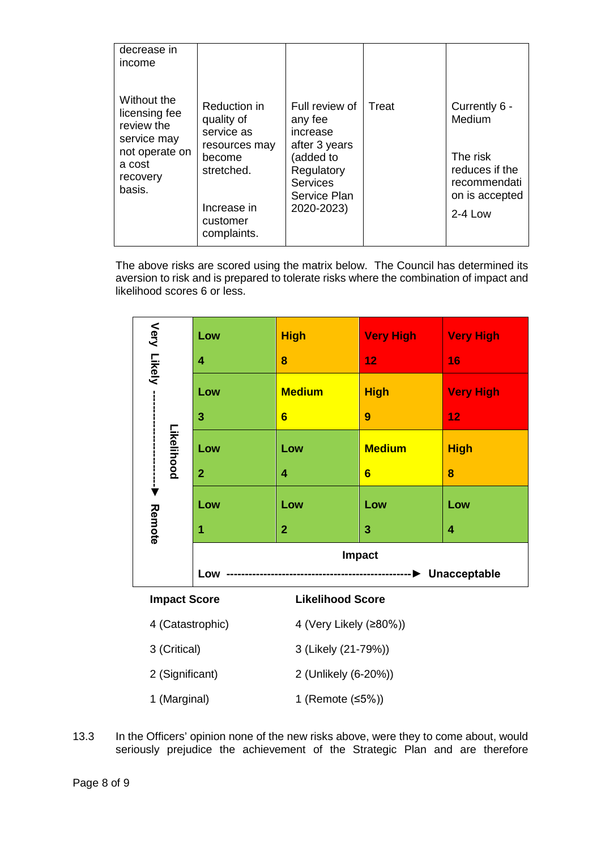| decrease in<br>income                                                                                       |                                                                                                                             |                                                                                                                                    |       |                                                                                                               |
|-------------------------------------------------------------------------------------------------------------|-----------------------------------------------------------------------------------------------------------------------------|------------------------------------------------------------------------------------------------------------------------------------|-------|---------------------------------------------------------------------------------------------------------------|
| Without the<br>licensing fee<br>review the<br>service may<br>not operate on<br>a cost<br>recovery<br>basis. | Reduction in<br>quality of<br>service as<br>resources may<br>become<br>stretched.<br>Increase in<br>customer<br>complaints. | Full review of<br>any fee<br>increase<br>after 3 years<br>(added to<br>Regulatory<br><b>Services</b><br>Service Plan<br>2020-2023) | Treat | Currently 6 -<br><b>Medium</b><br>The risk<br>reduces if the<br>recommendati<br>on is accepted<br>$2 - 4$ Low |

The above risks are scored using the matrix below. The Council has determined its aversion to risk and is prepared to tolerate risks where the combination of impact and likelihood scores 6 or less.

| Very Likely -                  | Low                                                                | <b>High</b>                                                                          | <b>Very High</b>                                                            | <b>Very High</b>        |
|--------------------------------|--------------------------------------------------------------------|--------------------------------------------------------------------------------------|-----------------------------------------------------------------------------|-------------------------|
|                                | 4                                                                  | 8                                                                                    | 12                                                                          | 16                      |
|                                | Low                                                                | <b>Medium</b>                                                                        | <b>High</b>                                                                 | <b>Very High</b>        |
|                                | 3                                                                  | $6\phantom{1}$                                                                       | 9                                                                           | 12                      |
| Likelihood                     | Low                                                                | Low                                                                                  | <b>Medium</b>                                                               | <b>High</b>             |
| $\frac{1}{\blacktriangledown}$ | $\overline{2}$                                                     | 4                                                                                    | $6\phantom{a}$                                                              | 8                       |
|                                | Low                                                                | Low                                                                                  | Low                                                                         | Low                     |
| <b>Remote</b>                  | 1                                                                  | $\overline{2}$                                                                       | 3                                                                           | $\overline{\mathbf{4}}$ |
|                                | Impact<br>---------------------------------- > Unacceptable<br>Low |                                                                                      |                                                                             |                         |
|                                |                                                                    |                                                                                      |                                                                             |                         |
|                                | <b>Impact Score</b><br><b>Likelihood Score</b>                     |                                                                                      |                                                                             |                         |
|                                | 4 (Catastrophic)<br>4 (Very Likely (≥80%))                         |                                                                                      |                                                                             |                         |
|                                | 3 (Critical)<br>3 (Likely (21-79%))                                |                                                                                      |                                                                             |                         |
|                                | 2 (Significant)<br>2 (Unlikely (6-20%))                            |                                                                                      |                                                                             |                         |
|                                | 1 (Marginal)<br>1 (Remote (≤5%))                                   |                                                                                      |                                                                             |                         |
|                                |                                                                    | In the Officers' opinion none of the new risks above, were they to come about, would | seriously prejudice the achievement of the Strategic Plan and are therefore |                         |

13.3 In the Officers' opinion none of the new risks above, were they to come about, would<br>seriously prejudice the achievement of the Strategic Plan and are therefore